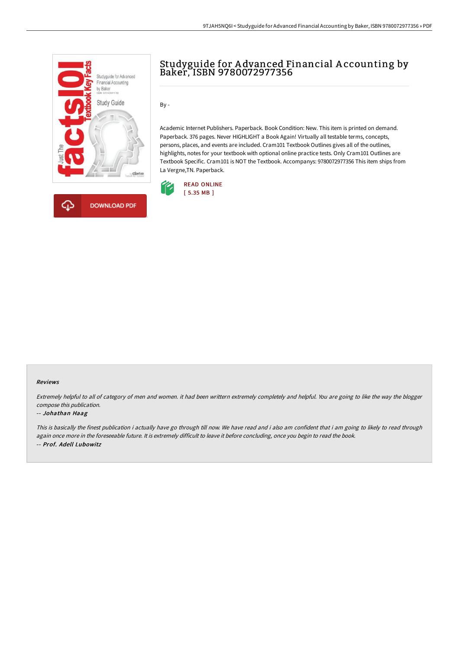



# Studyguide for A dvanced Financial A ccounting by Baker, ISBN 9780072977356

 $By -$ 

Academic Internet Publishers. Paperback. Book Condition: New. This item is printed on demand. Paperback. 376 pages. Never HIGHLIGHT a Book Again! Virtually all testable terms, concepts, persons, places, and events are included. Cram101 Textbook Outlines gives all of the outlines, highlights, notes for your textbook with optional online practice tests. Only Cram101 Outlines are Textbook Specific. Cram101 is NOT the Textbook. Accompanys: 9780072977356 This item ships from La Vergne,TN. Paperback.



#### Reviews

Extremely helpful to all of category of men and women. it had been writtern extremely completely and helpful. You are going to like the way the blogger compose this publication.

#### -- Johathan Haag

This is basically the finest publication i actually have go through till now. We have read and i also am confident that i am going to likely to read through again once more in the foreseeable future. It is extremely difficult to leave it before concluding, once you begin to read the book. -- Prof. Adell Lubowitz